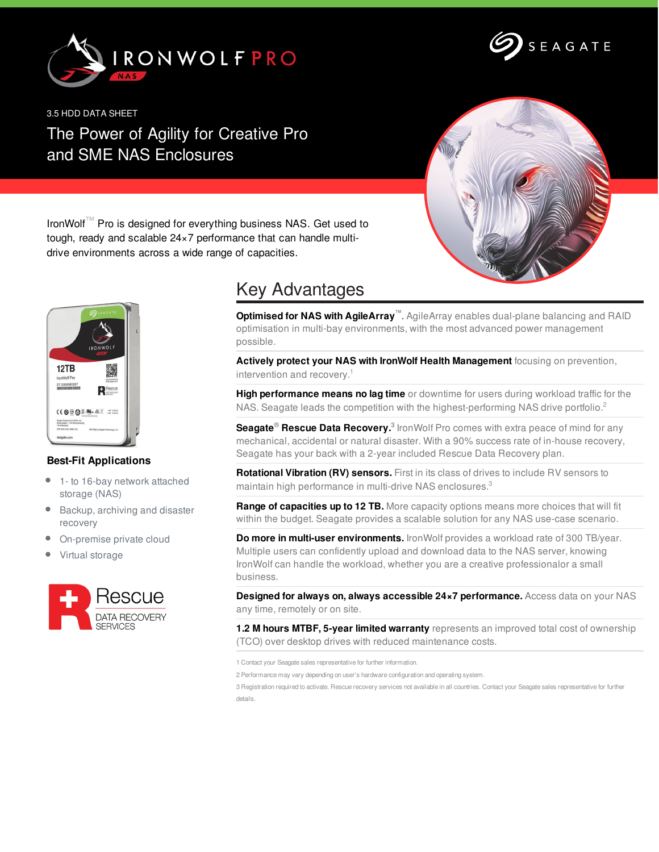



3.5 HDD DATA SHEET

## The Power of Agility for Creative Pro and SME NAS Enclosures



IronWolf™ Pro is designed for everything business NAS. Get used to tough, ready and scalable 24×7 performance that can handle multidrive environments across a wide range of capacities.



## **Best-Fit Applications**

- 1- to 16-bay network attached  $\bullet$ storage (NAS)
- Backup, archiving and disaster recovery
- On-premise private cloud
- Virtual storage



## Key Advantages

**Optimised for NAS with AgileArray™**. AgileArray enables dual-plane balancing and RAID optimisation in multi-bay environments, with the most advanced power management possible.

**Actively protect your NAS with IronWolf Health Management** focusing on prevention, intervention and recovery. 1

**High performance means no lag time** or downtime for users during workload traffic for the NAS. Seagate leads the competition with the highest-performing NAS drive portfolio.<sup>2</sup>

**Seagate<sup>®</sup> Rescue Data Recovery.**<sup>3</sup> IronWolf Pro comes with extra peace of mind for any mechanical, accidental or natural disaster. With a 90% success rate of in-house recovery, Seagate has your back with a 2-year included Rescue Data Recovery plan.

**Rotational Vibration (RV) sensors.** First in its class of drives to include RV sensors to maintain high performance in multi-drive NAS enclosures.<sup>3</sup>

**Range of capacities up to 12 TB.** More capacity options means more choices that will fit within the budget. Seagate provides a scalable solution for any NAS use-case scenario.

**Do more in multi-user environments.** IronWolf provides a workload rate of 300 TB/year. Multiple users can confidently upload and download data to the NAS server, knowing IronWolf can handle the workload, whether you are a creative professionalor a small business.

**Designed for always on, always accessible 24×7 performance.** Access data on your NAS any time, remotely or on site.

**1.2 M hours MTBF, 5-year limited warranty** represents an improved total cost of ownership (TCO) over desktop drives with reduced maintenance costs.

1 Contact your Seagate sales representative for further information.

2 Performance may vary depending on user's hardware configuration and operating system.

3 Registration required to activate. Rescue recovery services not available in all countries. Contact your Seagate sales representative for further details.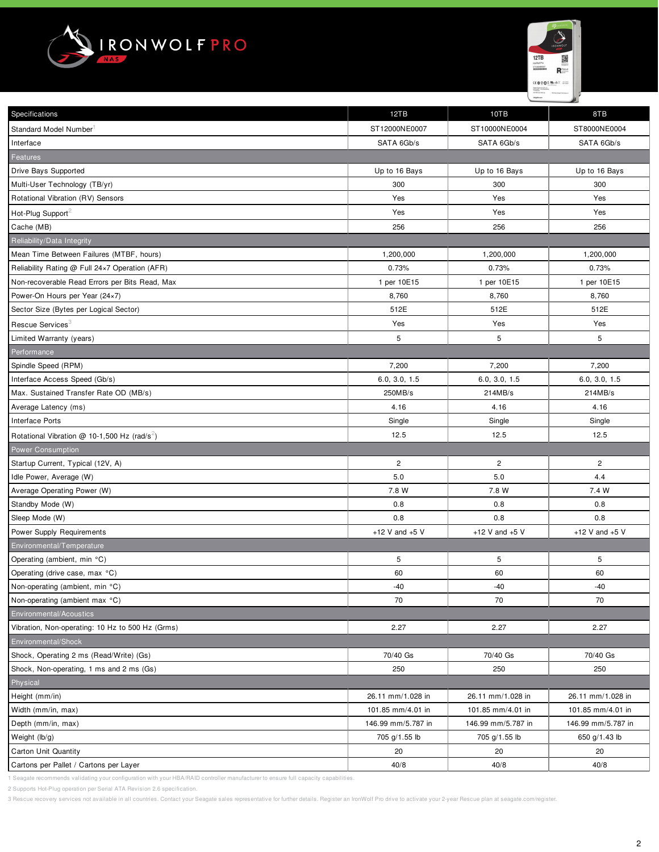



| Specifications                                           | 12TB               | 10TB                  | 8TB                |
|----------------------------------------------------------|--------------------|-----------------------|--------------------|
| Standard Model Number                                    | ST12000NE0007      | ST10000NE0004         | ST8000NE0004       |
| Interface                                                | SATA 6Gb/s         | SATA 6Gb/s            | SATA 6Gb/s         |
| <b>Features</b>                                          |                    |                       |                    |
| Drive Bays Supported                                     | Up to 16 Bays      | Up to 16 Bays         | Up to 16 Bays      |
| Multi-User Technology (TB/yr)                            | 300                | 300                   | 300                |
| Rotational Vibration (RV) Sensors                        | Yes                | Yes                   | Yes                |
|                                                          |                    |                       |                    |
| Hot-Plug Support <sup>2</sup>                            | Yes                | Yes                   | Yes                |
| Cache (MB)                                               | 256                | 256                   | 256                |
| Reliability/Data Integrity                               |                    |                       |                    |
| Mean Time Between Failures (MTBF, hours)                 | 1,200,000          | 1,200,000             | 1,200,000          |
| Reliability Rating @ Full 24x7 Operation (AFR)           | 0.73%              | 0.73%                 | 0.73%              |
| Non-recoverable Read Errors per Bits Read, Max           | 1 per 10E15        | 1 per 10E15           | 1 per 10E15        |
| Power-On Hours per Year (24×7)                           | 8,760              | 8,760                 | 8,760              |
| Sector Size (Bytes per Logical Sector)                   | 512E               | 512E                  | 512E               |
| Rescue Services <sup>3</sup>                             | Yes                | Yes                   | Yes                |
| Limited Warranty (years)                                 | 5                  | 5                     | 5                  |
| Performance                                              |                    |                       |                    |
| Spindle Speed (RPM)                                      | 7,200              | 7,200                 | 7,200              |
| Interface Access Speed (Gb/s)                            | 6.0, 3.0, 1.5      | 6.0, 3.0, 1.5         | 6.0, 3.0, 1.5      |
| Max. Sustained Transfer Rate OD (MB/s)                   | 250MB/s            | 214MB/s               | 214MB/s            |
| Average Latency (ms)                                     | 4.16               | 4.16                  | 4.16               |
| <b>Interface Ports</b>                                   | Single             | Single                | Single             |
| Rotational Vibration @ 10-1,500 Hz (rad/s <sup>2</sup> ) | 12.5               | 12.5                  | 12.5               |
| <b>Power Consumption</b>                                 |                    |                       |                    |
| Startup Current, Typical (12V, A)                        | $\overline{c}$     | $\mathbf{2}^{\prime}$ | $\overline{c}$     |
| Idle Power, Average (W)                                  | 5.0                | 5.0                   | 4.4                |
| Average Operating Power (W)                              | 7.8 W              | 7.8 W                 | 7.4 W              |
| Standby Mode (W)                                         | 0.8                | 0.8                   | 0.8                |
| Sleep Mode (W)                                           | 0.8                | 0.8                   | 0.8                |
| Power Supply Requirements                                | +12 V and $+5$ V   | +12 V and $+5$ V      | +12 V and $+5$ V   |
| Environmental/Temperature                                |                    |                       |                    |
| Operating (ambient, min °C)                              | 5                  | 5                     | 5                  |
| Operating (drive case, max °C)                           | 60                 | 60                    | 60                 |
| Non-operating (ambient, min °C)                          | -40                | -40                   | -40                |
| Non-operating (ambient max °C)                           | 70                 | 70                    | 70                 |
| Environmental/Acoustics                                  |                    |                       |                    |
| Vibration, Non-operating: 10 Hz to 500 Hz (Grms)         | 2.27               | 2.27                  | 2.27               |
| Environmental/Shock                                      |                    |                       |                    |
| Shock, Operating 2 ms (Read/Write) (Gs)                  | 70/40 Gs           | 70/40 Gs              | 70/40 Gs           |
| Shock, Non-operating, 1 ms and 2 ms (Gs)                 | 250                | 250                   | 250                |
| Physical                                                 |                    |                       |                    |
| Height (mm/in)                                           | 26.11 mm/1.028 in  | 26.11 mm/1.028 in     | 26.11 mm/1.028 in  |
| Width (mm/in, max)                                       | 101.85 mm/4.01 in  | 101.85 mm/4.01 in     | 101.85 mm/4.01 in  |
| Depth (mm/in, max)                                       | 146.99 mm/5.787 in | 146.99 mm/5.787 in    | 146.99 mm/5.787 in |
| Weight (lb/g)                                            | 705 g/1.55 lb      | 705 g/1.55 lb         | 650 g/1.43 lb      |
| <b>Carton Unit Quantity</b>                              | 20                 | 20                    | 20                 |
| Cartons per Pallet / Cartons per Layer                   | 40/8               | 40/8                  | 40/8               |

1 Seagate recommends validating your configuration with your HBA/RAID controller manufacturer to ensure full capacity capabilities.

2 Supports Hot-Plug operation per Serial ATA Revision 2.6 specification.

3 Rescue recovery services not available in all countries. Contact your Seagate sales representative for further details. Register an IronWolf Pro drive to activate your 2-year Rescue plan at seagate.com/register.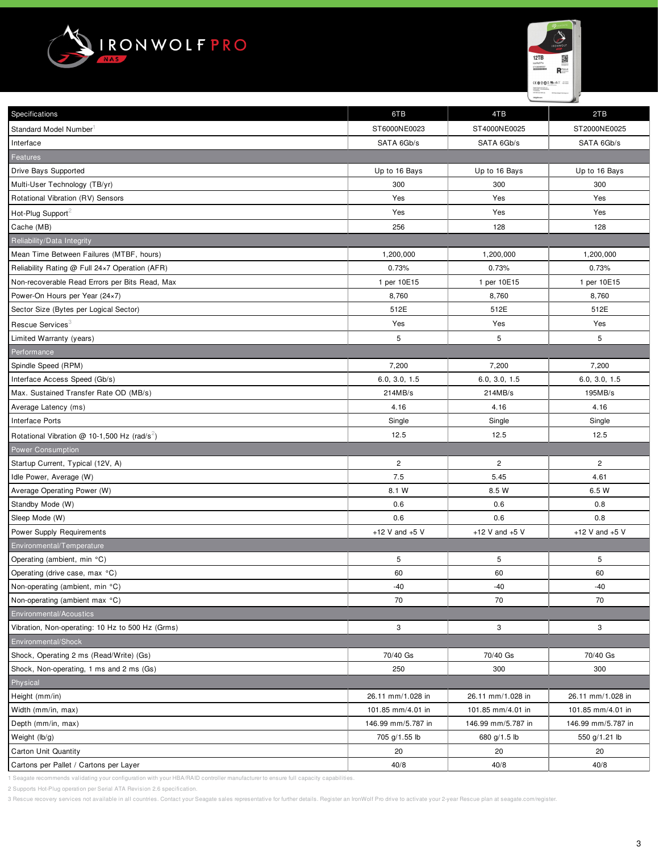



| Specifications                                           | 6TB                | 4TB                   | 2TB                |  |
|----------------------------------------------------------|--------------------|-----------------------|--------------------|--|
| Standard Model Number                                    | ST6000NE0023       | ST4000NE0025          | ST2000NE0025       |  |
| Interface                                                | SATA 6Gb/s         | SATA 6Gb/s            | SATA 6Gb/s         |  |
| <b>Features</b>                                          |                    |                       |                    |  |
| Drive Bays Supported                                     | Up to 16 Bays      | Up to 16 Bays         | Up to 16 Bays      |  |
| Multi-User Technology (TB/yr)                            | 300                | 300                   | 300                |  |
| Rotational Vibration (RV) Sensors                        | Yes                | Yes                   | Yes                |  |
| Hot-Plug Support <sup>2</sup>                            | Yes                | Yes                   | Yes                |  |
| Cache (MB)                                               | 256                | 128                   | 128                |  |
| Reliability/Data Integrity                               |                    |                       |                    |  |
| Mean Time Between Failures (MTBF, hours)                 | 1,200,000          | 1,200,000             | 1,200,000          |  |
| Reliability Rating @ Full 24x7 Operation (AFR)           | 0.73%              | 0.73%                 | 0.73%              |  |
| Non-recoverable Read Errors per Bits Read, Max           | 1 per 10E15        | 1 per 10E15           | 1 per 10E15        |  |
| Power-On Hours per Year (24×7)                           | 8,760              | 8,760                 | 8,760              |  |
| Sector Size (Bytes per Logical Sector)                   | 512E               | 512E                  | 512E               |  |
| Rescue Services <sup>3</sup>                             | Yes                | Yes                   | Yes                |  |
| Limited Warranty (years)                                 | 5                  | 5                     | 5                  |  |
| Performance                                              |                    |                       |                    |  |
| Spindle Speed (RPM)                                      | 7,200              | 7,200                 | 7,200              |  |
| Interface Access Speed (Gb/s)                            | 6.0, 3.0, 1.5      | 6.0, 3.0, 1.5         | 6.0, 3.0, 1.5      |  |
| Max. Sustained Transfer Rate OD (MB/s)                   | 214MB/s            | 214MB/s               | 195MB/s            |  |
| Average Latency (ms)                                     | 4.16               | 4.16                  | 4.16               |  |
| <b>Interface Ports</b>                                   | Single             | Single                | Single             |  |
| Rotational Vibration @ 10-1,500 Hz (rad/s <sup>2</sup> ) | 12.5               | 12.5                  | 12.5               |  |
| <b>Power Consumption</b>                                 |                    |                       |                    |  |
| Startup Current, Typical (12V, A)                        | $\mathbf 2$        | $\mathbf{2}^{\prime}$ | $\overline{c}$     |  |
| Idle Power, Average (W)                                  | 7.5                | 5.45                  | 4.61               |  |
| Average Operating Power (W)                              | 8.1 W              | 8.5 W                 | 6.5 W              |  |
| Standby Mode (W)                                         | 0.6                | 0.6                   | 0.8                |  |
| Sleep Mode (W)                                           | 0.6                | 0.6                   | 0.8                |  |
| Power Supply Requirements                                | +12 V and $+5$ V   | +12 V and $+5$ V      | +12 V and $+5$ V   |  |
| Environmental/Temperature                                |                    |                       |                    |  |
| Operating (ambient, min °C)                              | 5                  | 5                     | 5                  |  |
| Operating (drive case, max °C)                           | 60                 | 60                    | 60                 |  |
| Non-operating (ambient, min °C)                          | -40                | -40                   | -40                |  |
| Non-operating (ambient max °C)                           | 70                 | 70                    | 70                 |  |
| Environmental/Acoustics                                  |                    |                       |                    |  |
| Vibration, Non-operating: 10 Hz to 500 Hz (Grms)         | 3                  | 3                     | 3                  |  |
| Environmental/Shock                                      |                    |                       |                    |  |
| Shock, Operating 2 ms (Read/Write) (Gs)                  | 70/40 Gs           | 70/40 Gs              | 70/40 Gs           |  |
| Shock, Non-operating, 1 ms and 2 ms (Gs)                 | 250                | 300                   | 300                |  |
| Physical                                                 |                    |                       |                    |  |
| Height (mm/in)                                           | 26.11 mm/1.028 in  | 26.11 mm/1.028 in     | 26.11 mm/1.028 in  |  |
| Width (mm/in, max)                                       | 101.85 mm/4.01 in  | 101.85 mm/4.01 in     | 101.85 mm/4.01 in  |  |
| Depth (mm/in, max)                                       | 146.99 mm/5.787 in | 146.99 mm/5.787 in    | 146.99 mm/5.787 in |  |
| Weight (lb/g)                                            | 705 g/1.55 lb      | 680 g/1.5 lb          | 550 g/1.21 lb      |  |
| Carton Unit Quantity                                     | 20                 | 20                    | 20                 |  |
| Cartons per Pallet / Cartons per Layer                   | 40/8               | 40/8                  | 40/8               |  |

1 Seagate recommends validating your configuration with your HBA/RAID controller manufacturer to ensure full capacity capabilities.

2 Supports Hot-Plug operation per Serial ATA Revision 2.6 specification.

3 Rescue recovery services not available in all countries. Contact your Seagate sales representative for further details. Register an IronWolf Pro drive to activate your 2-year Rescue plan at seagate.com/register.